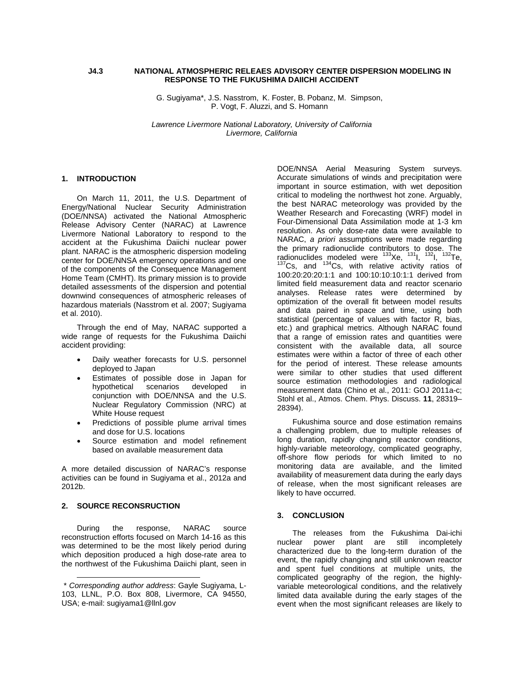## **J4.3 NATIONAL ATMOSPHERIC RELEAES ADVISORY CENTER DISPERSION MODELING IN RESPONSE TO THE FUKUSHIMA DAIICHI ACCIDENT**

G. Sugiyama\*, J.S. Nasstrom, K. Foster, B. Pobanz, M. Simpson, P. Vogt, F. Aluzzi, and S. Homann

*Lawrence Livermore National Laboratory, University of California Livermore, California* 

# **1. INTRODUCTION**

On March 11, 2011, the U.S. Department of Energy/National Nuclear Security Administration (DOE/NNSA) activated the National Atmospheric Release Advisory Center (NARAC) at Lawrence Livermore National Laboratory to respond to the accident at the Fukushima Daiichi nuclear power plant. NARAC is the atmospheric dispersion modeling center for DOE/NNSA emergency operations and one of the components of the Consequence Management Home Team (CMHT). Its primary mission is to provide detailed assessments of the dispersion and potential downwind consequences of atmospheric releases of hazardous materials (Nasstrom et al. 2007; Sugiyama et al. 2010).

Through the end of May, NARAC supported a wide range of requests for the Fukushima Daiichi accident providing:

- Daily weather forecasts for U.S. personnel deployed to Japan
- Estimates of possible dose in Japan for hypothetical scenarios developed in conjunction with DOE/NNSA and the U.S. Nuclear Regulatory Commission (NRC) at White House request
- Predictions of possible plume arrival times and dose for U.S. locations
- Source estimation and model refinement based on available measurement data

A more detailed discussion of NARAC's response activities can be found in Sugiyama et al., 2012a and 2012b.

# **2. SOURCE RECONSRUCTION**

l

During the response, NARAC source reconstruction efforts focused on March 14-16 as this was determined to be the most likely period during which deposition produced a high dose-rate area to the northwest of the Fukushima Daiichi plant, seen in

DOE/NNSA Aerial Measuring System surveys. Accurate simulations of winds and precipitation were important in source estimation, with wet deposition critical to modeling the northwest hot zone. Arguably, the best NARAC meteorology was provided by the Weather Research and Forecasting (WRF) model in Four-Dimensional Data Assimilation mode at 1-3 km resolution. As only dose-rate data were available to NARAC, *a priori* assumptions were made regarding the primary radionuclide contributors to dose. The radionuclides modeled were <sup>133</sup>Xe, <sup>131</sup>I, <sup>132</sup>I, <sup>132</sup>Te,<br><sup>137</sup>Cs, and <sup>134</sup>Cs, with relative activity ratios of 100:20:20:20:1:1 and 100:10:10:10:1:1 derived from limited field measurement data and reactor scenario analyses. Release rates were determined by optimization of the overall fit between model results and data paired in space and time, using both statistical (percentage of values with factor R, bias, etc.) and graphical metrics. Although NARAC found that a range of emission rates and quantities were consistent with the available data, all source estimates were within a factor of three of each other for the period of interest. These release amounts were similar to other studies that used different source estimation methodologies and radiological measurement data (Chino et al., 2011: GOJ 2011a-c; Stohl et al., Atmos. Chem. Phys. Discuss. **11**, 28319– 28394).

Fukushima source and dose estimation remains a challenging problem, due to multiple releases of long duration, rapidly changing reactor conditions, highly-variable meteorology, complicated geography, off-shore flow periods for which limited to no monitoring data are available, and the limited availability of measurement data during the early days of release, when the most significant releases are likely to have occurred.

#### **3. CONCLUSION**

The releases from the Fukushima Dai-ichi nuclear power plant are still incompletely characterized due to the long-term duration of the event, the rapidly changing and still unknown reactor and spent fuel conditions at multiple units, the complicated geography of the region, the highlyvariable meteorological conditions, and the relatively limited data available during the early stages of the event when the most significant releases are likely to

 <sup>\*</sup> *Corresponding author address*: Gayle Sugiyama, L-103, LLNL, P.O. Box 808, Livermore, CA 94550, USA; e-mail: sugiyama1@llnl.gov